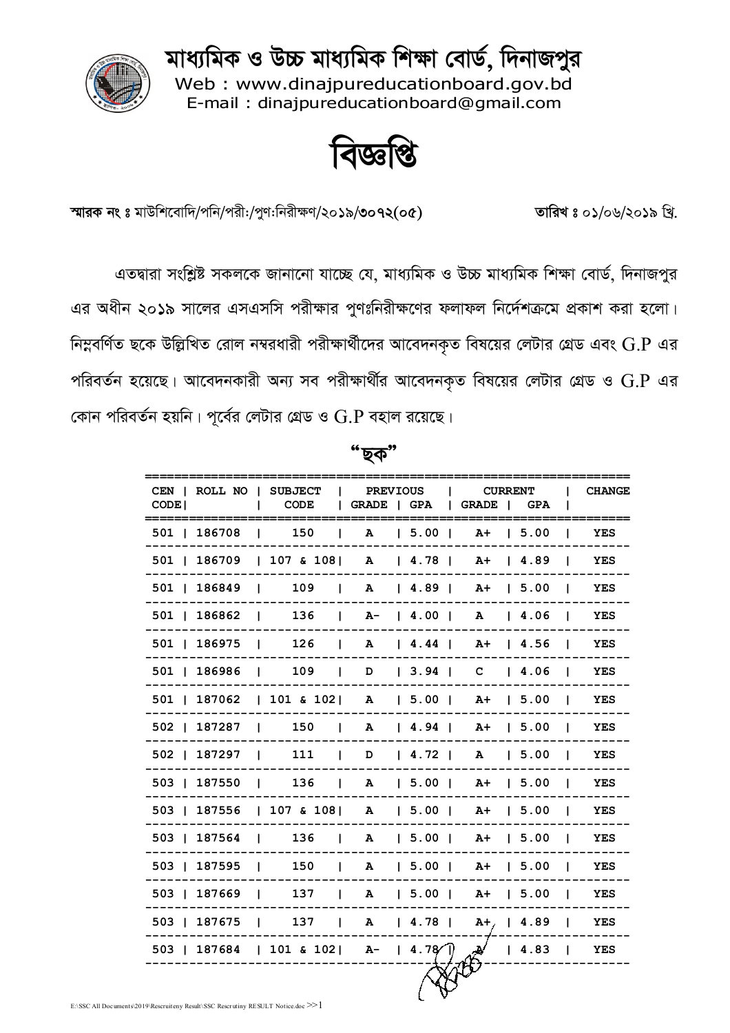মাধ্যমিক ও উচ্চ মাধ্যমিক শিক্ষা বোর্ড, দিনাজপুর

Web: www.dinajpureducationboard.gov.bd E-mail: dinaipureducationboard@gmail.com



বিজ্ঞপ্তি

স্মারক নং ঃ মাউশিবোদি/পনি/পরী:/পুণ:নিরীক্ষণ/২০১৯/৩০৭২(০৫) তারিখ ঃ ০১/০৬/২০১৯ খি.

এতদ্বারা সংশ্লিষ্ট সকলকে জানানো যাচ্ছে যে, মাধ্যমিক ও উচ্চ মাধ্যমিক শিক্ষা বোর্ড, দিনাজপুর এর অধীন ২০১৯ সালের এসএসসি পরীক্ষার পুণঃনিরীক্ষণের ফলাফল নির্দেশক্রমে প্রকাশ করা হলো। নিম্নবর্ণিত ছকে উল্লিখিত রোল নম্বরধারী পরীক্ষার্থীদের আবেদনকৃত বিষয়ের লেটার গ্রেড এবং  $\operatorname{G.P}$  এর পরিবর্তন হয়েছে। আবেদনকারী অন্য সব পরীক্ষার্থীর আবেদনকৃত বিষয়ের লেটার গ্রেড ও  $\mathbf{G}.\mathbf{P}$  এর কোন পরিবর্তন হয়নি। পূর্বের লেটার গ্রেড ও  $\operatorname{G.P}$  বহাল রয়েছে।

| CEN   ROLL NO   SUBJECT                          |                                                  |  | PREVIOUS |                      | <b>CURRENT</b>             |              | <b>CHANGE</b> |
|--------------------------------------------------|--------------------------------------------------|--|----------|----------------------|----------------------------|--------------|---------------|
| CODE <sub>1</sub>                                | CODE   GRADE   GPA   GRADE   GPA<br>$\mathbf{L}$ |  |          |                      |                            |              | ______        |
| 501   186708                                     | 150  <br>$\mathbf{I}$                            |  |          | A   5.00   A+   5.00 |                            | $\mathbf{L}$ | YES           |
| 501   186709   107 & 108   A   4.78   A+   4.89  |                                                  |  |          |                      |                            |              | YES           |
| 501   186849   109   A   4.89   A +   5.00       |                                                  |  |          |                      |                            |              | YES           |
| $501$   186862   136   A-   4.00   A   4.06      |                                                  |  |          |                      |                            |              | YES           |
| 501   186975   126   A   4.44   A+   4.56        |                                                  |  |          |                      |                            |              | YES           |
| 501   186986   109   D   3.94   C   4.06         |                                                  |  |          |                      |                            |              | <b>YES</b>    |
| 501   187062   101 & 102   A   5.00   A +   5.00 |                                                  |  |          |                      |                            |              | YES           |
| 502   187287   150   A   4.94   A+   5.00        |                                                  |  |          |                      |                            |              | YES           |
| 502   187297   111   D   4.72   A   5.00   YES   |                                                  |  |          |                      |                            |              |               |
| 503   187550   136   A   5.00   A+   5.00        |                                                  |  |          |                      |                            |              | YES           |
| 503   187556   107 & 108   A   5.00   A+   5.00  |                                                  |  |          |                      |                            |              | YES           |
| 503   187564   136   A   5.00   A+   5.00        |                                                  |  |          |                      |                            |              | <b>YES</b>    |
| 503   187595   150   A   5.00   A+   5.00        |                                                  |  |          |                      |                            |              | YES           |
| 503   187669   137   A   5.00   A+   5.00        |                                                  |  |          |                      |                            |              | YES           |
| 503   187675   137   A   4.78   A+,   4.89   YES |                                                  |  |          |                      |                            |              |               |
| 503   187684   101 & 102   A-   4.78             |                                                  |  |          |                      | $\mathcal{A}$   4.83   YES |              |               |
|                                                  |                                                  |  |          |                      |                            |              |               |

'ছক'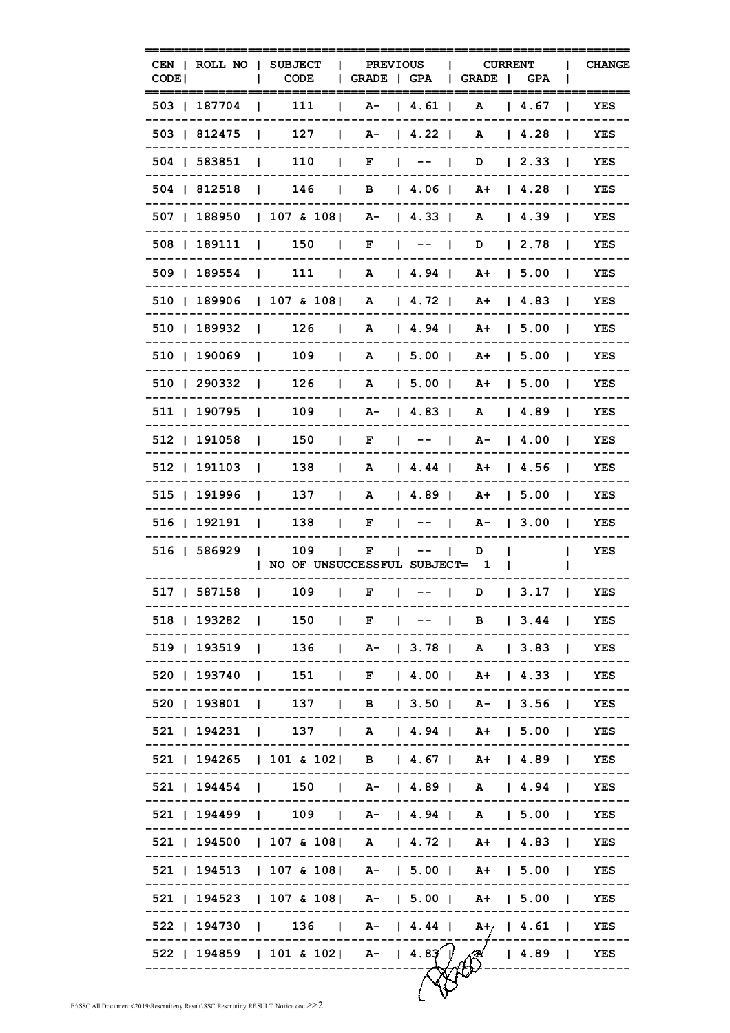| CODE <sup>1</sup> |                    | CEN   ROLL NO   SUBJECT<br><b>CODE</b>                           | <b>PREVIOUS</b><br>  GRADE   GPA                                           |                                                                                                          | GRADE                | <b>CURRENT</b><br><b>GPA</b>             |                | <b>CHANGE</b> |
|-------------------|--------------------|------------------------------------------------------------------|----------------------------------------------------------------------------|----------------------------------------------------------------------------------------------------------|----------------------|------------------------------------------|----------------|---------------|
|                   | 503   187704       | 111                                                              |                                                                            | $A - 14.61$                                                                                              | A                    | $14.67$                                  |                | YES           |
|                   | 503   812475       | 127<br>$\mathbf{I}$                                              | $\mathbf{L}$                                                               | $A - 14.22$                                                                                              | A                    | $\begin{array}{cc} 1 & 4.28 \end{array}$ |                | YES           |
|                   | 504   583851       | $\begin{array}{ccc} \end{array}$ 110                             | $\begin{array}{ccccccccccccccccc}\n1 & F & \cdot & - & - & 1\n\end{array}$ |                                                                                                          |                      | $D \mid 2.33$                            | -1             | YES           |
|                   | 504   812518       | $\vert$ 146   B   4.06   A+   4.28                               |                                                                            |                                                                                                          |                      |                                          |                | YES           |
|                   | 507   188950       | $ 107 \& 108 $ A- $ 4.33 $ A $ 4.39 $                            |                                                                            |                                                                                                          |                      |                                          | $\mathbf{I}$   | YES           |
|                   | 508   189111       | 150   F   --                                                     |                                                                            |                                                                                                          |                      | D   2.78                                 | $\mathbf{I}$   | YES           |
|                   | 509   189554   111 |                                                                  | <b>Contract Contract</b>                                                   | A   4.94                                                                                                 |                      | $A+$   5.00                              | -11            | YES           |
|                   |                    | 510   189906   107 & 108   A   4.72                              |                                                                            |                                                                                                          |                      | $A+$   4.83                              | $\mathbf{I}$   | YES           |
|                   | 510   189932       | 126<br>$\sim$ 1.<br>$\mathbf{1}$                                 |                                                                            | A   4.94                                                                                                 |                      | $A+$ 1 5.00                              | $\mathbf{I}$   | YES           |
|                   | 510   190069       | 109<br>$\mathbf{1}$                                              | $\mathbf{1}$                                                               | A   5.00                                                                                                 |                      | $A+$   5.00                              | $\mathbf{I}$   | YES           |
|                   | 510   290332       | 126<br>$\mathbf{1}$                                              | $\mathbf{L}$                                                               | A   5.00                                                                                                 |                      | $A+$   5.00                              |                | <b>YES</b>    |
|                   | 511   190795       | 109<br>$\mathbf{I}$                                              | $\mathbf{L}$                                                               | $A - 14.83$                                                                                              |                      | A   4.89                                 | $\mathbf{I}$   | YES           |
|                   | 512   191058       | 150<br>$\blacksquare$                                            | $\mathbf{I}$<br>F                                                          | $\begin{array}{ccc} \n\end{array}$ $\begin{array}{ccc} \n\end{array}$ $\begin{array}{ccc} \n\end{array}$ |                      | A- 14.00                                 | $\mathbf{I}$   | YES           |
|                   | 512   191103       | 138<br>$\blacksquare$                                            | $\mathbf{L}$                                                               |                                                                                                          | A   4.44   A+   4.56 |                                          | $\blacksquare$ | YES           |
|                   | 515   191996       | 137<br>$\mathbf{I}$                                              | $\mathbf{L}$                                                               |                                                                                                          | A   4.89   A+   5.00 |                                          | $\mathbf{I}$   | YES           |
|                   | 516   192191       | 138<br>$\sim$ 1.0 $\sim$                                         | $\mathbf{L}$                                                               | $F \left[ \begin{array}{cccc} - - & 1 \end{array} \right]$                                               |                      | $A - 13.00$                              | $\perp$        | YES           |
|                   | 516   586929       | 109<br>$\blacksquare$<br>  NO OF UNSUCCESSFUL SUBJECT= 1         | $\mathbf{L}$<br>F<br>$\mathbf{I}$                                          | $- - -$                                                                                                  | D                    |                                          |                | YES           |
|                   | 517   587158       | 109<br>$\blacksquare$                                            | $\mathbf{1}$<br>F                                                          | $\begin{array}{ccc} \n\end{array}$ $\begin{array}{ccc} \n\end{array}$ $\begin{array}{ccc} \n\end{array}$ | D                    | 13.17                                    | $\blacksquare$ | YES           |
|                   |                    | 518   193282   150   F   --   B   3.44   YES                     |                                                                            |                                                                                                          |                      |                                          |                |               |
|                   |                    | 519   193519   136   A-   3.78   A   3.83   YES                  |                                                                            |                                                                                                          |                      |                                          |                |               |
|                   |                    | 520   193740   151   F   4.00   A+   4.33   YES                  |                                                                            |                                                                                                          |                      |                                          |                |               |
|                   |                    | 520   193801   137   B   3.50   A-   3.56   YES                  |                                                                            |                                                                                                          |                      |                                          |                |               |
|                   |                    | 521   194231   137   A   4.94   A+   5.00   YES                  |                                                                            |                                                                                                          |                      |                                          |                |               |
|                   |                    | 521   194265   101 & 102   B   4.67   A+   4.89   YES            |                                                                            |                                                                                                          |                      |                                          |                |               |
|                   |                    | 521   194454   150   A-   4.89   A   4.94   YES                  |                                                                            |                                                                                                          |                      |                                          |                |               |
|                   |                    | 521   194499   109   A-   4.94   A   5.00   YES                  |                                                                            |                                                                                                          |                      |                                          |                |               |
|                   |                    | 521   194500   107 & 108   A   4.72   A+   4.83   YES            |                                                                            |                                                                                                          |                      |                                          |                |               |
|                   |                    | 521   194513   107 & 108   A-   5.00   A+   5.00   YES           |                                                                            |                                                                                                          |                      |                                          |                |               |
|                   |                    | 521   194523   107 & 108   A-   5.00   A+   5.00   YES           |                                                                            |                                                                                                          |                      |                                          |                |               |
|                   |                    | 522   194730   136   A-   4.44   A+/   4.61   YES                |                                                                            |                                                                                                          |                      |                                          |                |               |
|                   |                    | 522   194859   101 & 102   A-   4.8 $\widetilde{A}$   4.89   YES |                                                                            |                                                                                                          |                      |                                          |                |               |
|                   |                    |                                                                  |                                                                            |                                                                                                          |                      |                                          |                |               |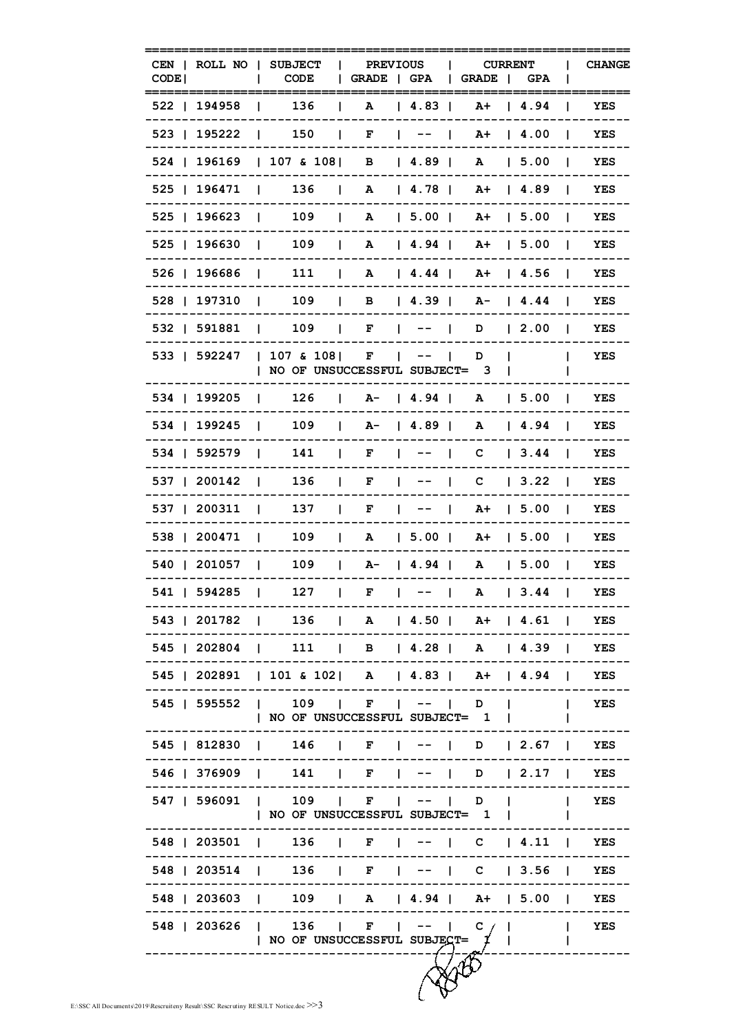| CODE <sup>1</sup> |                    |                | CEN   ROLL NO   SUBJECT<br><b>CODE</b>                                        | $\mathbf{L}$ | <b>PREVIOUS</b> | GRADE   GPA   GRADE                  |   | <b>CURRENT</b> | GPA                                            |                | <b>CHANGE</b> |
|-------------------|--------------------|----------------|-------------------------------------------------------------------------------|--------------|-----------------|--------------------------------------|---|----------------|------------------------------------------------|----------------|---------------|
|                   | 522   194958       | L              | 136                                                                           | $\mathbf{L}$ | A               | 4.83                                 |   | $A+$           | 4.94                                           | $\mathbf{I}$   | YES           |
| 523   195222      |                    |                | 11150                                                                         |              | $\mathbf{F}$    | $1 - - -$                            |   |                | $A+$   4.00                                    | $\mathbf{I}$   | YES           |
|                   | 524   196169       |                | $ 107 \& 108 $ B $ 4.89 $                                                     |              |                 |                                      |   |                | A   5.00                                       | -1             | YES           |
| 525   196471      |                    |                | $\vert$ 136   A   4.78   A+   4.89                                            |              |                 |                                      |   |                |                                                | $\mathbf{I}$   | YES           |
| 525   196623      |                    |                | $\vert$ 109   A   5.00   A +   5.00                                           |              |                 |                                      |   |                |                                                | $\mathbf{I}$   | YES           |
| 525   196630      |                    |                | $\begin{array}{ccc} \vert & 109 \end{array}$                                  |              |                 | A   4.94   A+   5.00                 |   |                |                                                | $\mathbf{I}$   | YES           |
|                   | 526   196686   111 |                |                                                                               |              |                 | $\vert$ A $\vert$ 4.44   A +   4.56  |   |                |                                                | $\blacksquare$ | YES           |
| 528   197310      |                    |                | $\begin{array}{ccc} \end{array}$                                              |              |                 | $\vert$ B $\vert$ 4.39   A-   4.44   |   |                |                                                | $\blacksquare$ | YES           |
| 532   591881      |                    |                | $ $ 109   F   --   D   2.00                                                   |              |                 |                                      |   |                |                                                | $\blacksquare$ | YES           |
| 533   592247      |                    |                | $ 107 \& 108 $ F $   $                                                        |              |                 |                                      | D |                |                                                | L              | YES           |
|                   |                    |                | NO OF UNSUCCESSFUL SUBJECT= 3                                                 |              |                 |                                      |   |                |                                                |                |               |
| 534   199205      |                    |                | $\frac{1}{26}$                                                                |              |                 | $  A -   4.94   A   5.00$            |   |                |                                                | $\mathbf{1}$   | YES           |
| 534   199245      |                    |                | $\begin{array}{ccc} & 109 \end{array}$                                        | $\mathbf{L}$ |                 | A-   4.89                            |   |                | A   4.94                                       | and the        | YES           |
| 534   592579      |                    |                | 141<br>$\mathbf{1}$                                                           |              |                 | $  F   --   C   3.44  $              |   |                |                                                |                | YES           |
| 537   200142      |                    |                | 136<br>and the state                                                          | $\mathbf{I}$ |                 | $F \quad   \quad -- \quad   \quad C$ |   |                | $\begin{array}{ c c } \hline \end{array}$ 3.22 | $\blacksquare$ | YES           |
| 537   200311      |                    |                | 137<br><b>Contract Contract</b>                                               | $\mathbf{L}$ | $\mathbf{F}$    | $\begin{array}{ccc} \end{array}$     |   |                | A+   5.00                                      | $\mathbf{L}$   | YES           |
| 538   200471      |                    |                | $\begin{array}{ccc} & 109 \end{array}$                                        | $\mathbf{L}$ |                 | A   5.00   A+   5.00                 |   |                |                                                | $\blacksquare$ | YES           |
|                   | 540   201057   109 |                |                                                                               |              |                 | $\vert$ A- $\vert$ 4.94   A   5.00   |   |                |                                                | $\mathbf{I}$   | YES           |
|                   | 541   594285       | $\blacksquare$ | 127                                                                           | $\mathbf{I}$ | $\mathbf{F}$    | $\vert$ -- $\vert$ A                 |   |                | $\vert$ 3.44                                   | $\Box$         | YES           |
|                   |                    |                | 543   201782   136   A   4.50   A+   4.61   YES                               |              |                 |                                      |   |                |                                                |                |               |
|                   |                    |                | 545   202804   111   B   4.28   A   4.39   YES                                |              |                 |                                      |   |                |                                                |                |               |
|                   |                    |                | 545   202891   101 & 102   A   4.83   A+   4.94   YES                         |              |                 |                                      |   |                |                                                |                |               |
|                   |                    |                | 545   595552   109   F   --   D     YES<br>  NO OF UNSUCCESSFUL SUBJECT= 1    |              |                 |                                      |   |                |                                                | $\mathbf{I}$   |               |
|                   |                    |                | 545   812830   146   F   --   D   2.67   YES                                  |              |                 |                                      |   |                |                                                |                |               |
|                   |                    |                | 546   376909   141   F   --   D   2.17   YES                                  |              |                 |                                      |   |                |                                                |                |               |
|                   |                    |                | 547   596091   109   F   --   D       YES                                     |              |                 |                                      |   |                |                                                |                |               |
|                   |                    |                | NO OF UNSUCCESSFUL SUBJECT= 1                                                 |              |                 |                                      |   |                | <b>Contract Contract Contract</b>              |                |               |
|                   |                    |                | 548   203501   136   F   --   C   4.11   YES                                  | $- - -$      |                 |                                      |   |                |                                                |                |               |
|                   |                    |                | 548   203514   136   F   --   C   3.56   YES                                  |              |                 |                                      |   |                |                                                |                |               |
|                   |                    |                | 548   203603   109   A   4.94   A+   5.00   YES                               |              |                 |                                      |   |                |                                                |                |               |
|                   |                    |                | 548   203626   136   F   --   C    <br>  NO OF UNSUCCESSFUL SUBJECT= $\sharp$ |              |                 |                                      |   |                |                                                | $\mathbf{I}$   | YES           |
|                   |                    |                |                                                                               |              |                 |                                      |   |                |                                                |                |               |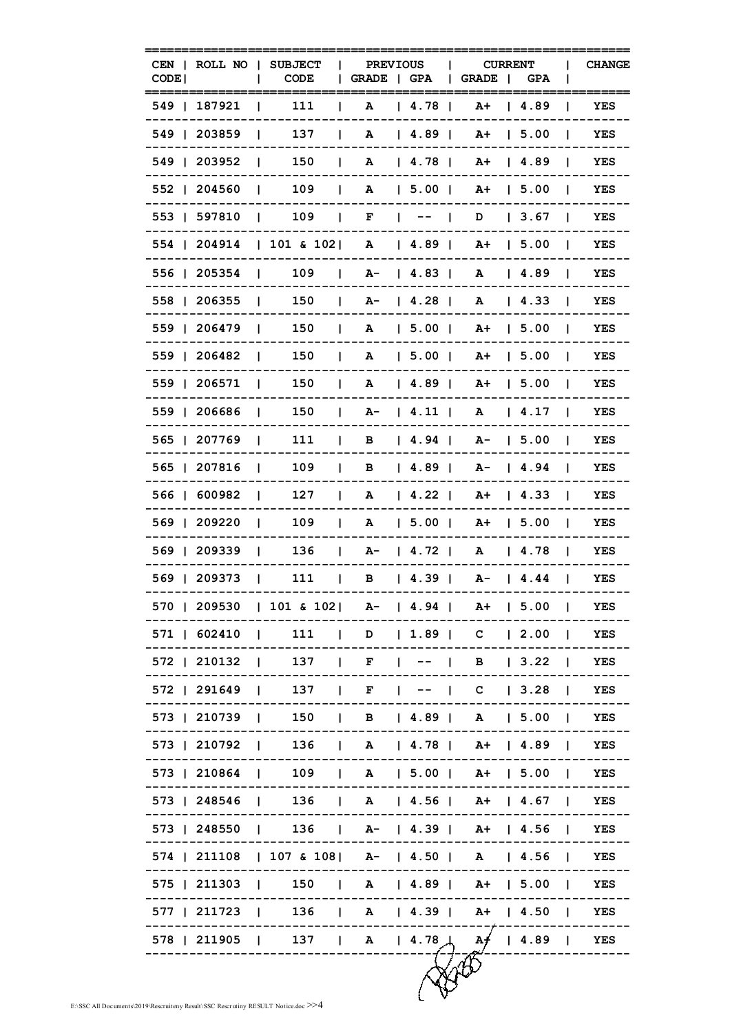| CEN<br>CODE | ROLL NO 1    |                | <b>SUBJECT</b><br>CODE                                    |              | <b>PREVIOUS</b><br>GRADE   GPA |                                 | <b>CURRENT</b><br><b>GRADE</b> | - 1 | <b>GPA</b>    |                | <b>CHANGE</b> |
|-------------|--------------|----------------|-----------------------------------------------------------|--------------|--------------------------------|---------------------------------|--------------------------------|-----|---------------|----------------|---------------|
|             | 549   187921 |                | 111                                                       |              | A                              | 4.78                            | A+                             |     | 4.89          |                | ----<br>YES   |
|             | 549   203859 | L              | 137                                                       | $\mathbf{L}$ | A                              | 4.89                            | A+                             |     | 1, 5.00       |                | YES           |
|             | 549   203952 | $\mathbf{L}$   | 150                                                       | $\mathbf{I}$ | A                              | 4.78                            | A+                             |     | $14.89$       |                | YES           |
|             | 552   204560 | $\mathbf{I}$   | 109                                                       | $\perp$      | A                              | 5.00                            | A+                             |     | $1\,5.00$     | - 1            | YES           |
|             | 553   597810 | $\perp$        | 109                                                       |              |                                | $F \qquad   \qquad -- \qquad  $ | D                              |     | 3.67          | $\blacksquare$ | YES           |
|             | 554   204914 |                | $ 101 \& 102 $                                            |              | A                              | 4.89                            | A+                             |     | 1, 5.00       | $\mathbf{I}$   | YES           |
|             | 556   205354 |                | 109<br><b>Contract Contract</b>                           | $\mathbf{L}$ |                                | $A - 14.83$                     | A                              |     | 14.89         |                | YES           |
|             | 558   206355 | $\Box$         | 150                                                       | $\mathbf{L}$ |                                | $A - 14.28$                     | A                              |     | 14.33         | -1             | YES           |
|             | 559   206479 | $\mathbf{I}$   | 150                                                       | $\mathbf{I}$ | A                              | 5.00                            | $A+$   5.00                    |     |               | - 1            | YES           |
|             | 559   206482 | $\mathbf{I}$   | 150                                                       | $\mathbf{I}$ | A                              | 5.00                            | A+                             |     | 15.00         | $\blacksquare$ | YES           |
|             | 559   206571 | L              | 150                                                       | $\mathbf{L}$ | ${\bf A}$                      | 4.89                            | A+                             |     | 15.00         |                | YES           |
|             | 559   206686 | $\mathbf{L}$   | 150                                                       | $\mathbf{L}$ |                                | $A - 14.11$                     | A                              |     | 14.17         |                | YES           |
|             | 565   207769 | $\mathbf{L}$   | 111                                                       | $\mathbf{I}$ |                                | B   4.94                        | $A - 15.00$                    |     |               | $\mathbf{I}$   | YES           |
|             | 565   207816 | $\mathbf{I}$   | 109                                                       | $\mathbf{I}$ | в                              | 4.89                            | $A - 14.94$                    |     |               | $\blacksquare$ | YES           |
|             | 566   600982 | L              | 127                                                       | L            | A                              | $14.22$ 1                       | A+                             |     | 14.33         | $\mathbf{L}$   | YES           |
|             | 569   209220 | I.             | 109                                                       | L            | A                              | 5.00                            | A+                             |     | 15.00         |                | <b>YES</b>    |
|             | 569   209339 | $\blacksquare$ | 136                                                       | $\mathbf{L}$ |                                | $A - 14.72$                     | A                              |     | $\sqrt{4.78}$ | -1             | YES           |
|             | 569   209373 | $\blacksquare$ | 111                                                       | $\mathbf{L}$ |                                | B   4.39                        | $A - 14.44$                    |     |               | $\mathbf{I}$   | YES           |
|             |              |                | 570   209530   101 & 102   A-   4.94   A+   5.00   YES    |              |                                |                                 |                                |     |               |                |               |
|             |              |                | 571   602410   111   D   1.89   C   2.00   YES            |              |                                |                                 |                                |     |               |                |               |
|             |              |                | 572   210132   137   F   --   B   3.22   YES              |              |                                |                                 |                                |     |               |                |               |
|             |              |                | 572   291649   137   F   --   C   3.28   YES              |              |                                |                                 |                                |     |               |                |               |
|             |              |                | 573   210739   150   B   4.89   A   5.00   YES            |              |                                |                                 |                                |     |               |                |               |
|             |              |                | 573   210792   136   A   4.78   A+   4.89   YES           |              |                                |                                 |                                |     |               |                |               |
|             |              |                | 573   210864   109   A   5.00   A+   5.00   YES           |              |                                |                                 |                                |     |               |                |               |
|             |              |                | 573   248546   136   A   4.56   A+   4.67   YES           |              |                                |                                 |                                |     |               |                |               |
|             |              |                | 573   248550   136   A-   4.39   A+   4.56   YES          |              |                                |                                 |                                |     |               |                |               |
|             |              |                | 574   211108   107 & 108   A-   4.50   A   4.56   YES     |              |                                |                                 |                                |     |               |                |               |
|             |              |                | 575   211303   150   A   4.89   A+   5.00   YES           |              |                                |                                 |                                |     |               |                |               |
|             |              |                | 577   211723   136   A   4.39   A+   4.50   YES           |              |                                |                                 |                                |     |               |                |               |
|             |              |                | 578   211905   137   A   4.78 $\downarrow$ A   4.89   YES |              |                                |                                 |                                |     |               |                |               |
|             |              |                |                                                           |              |                                |                                 |                                |     |               |                |               |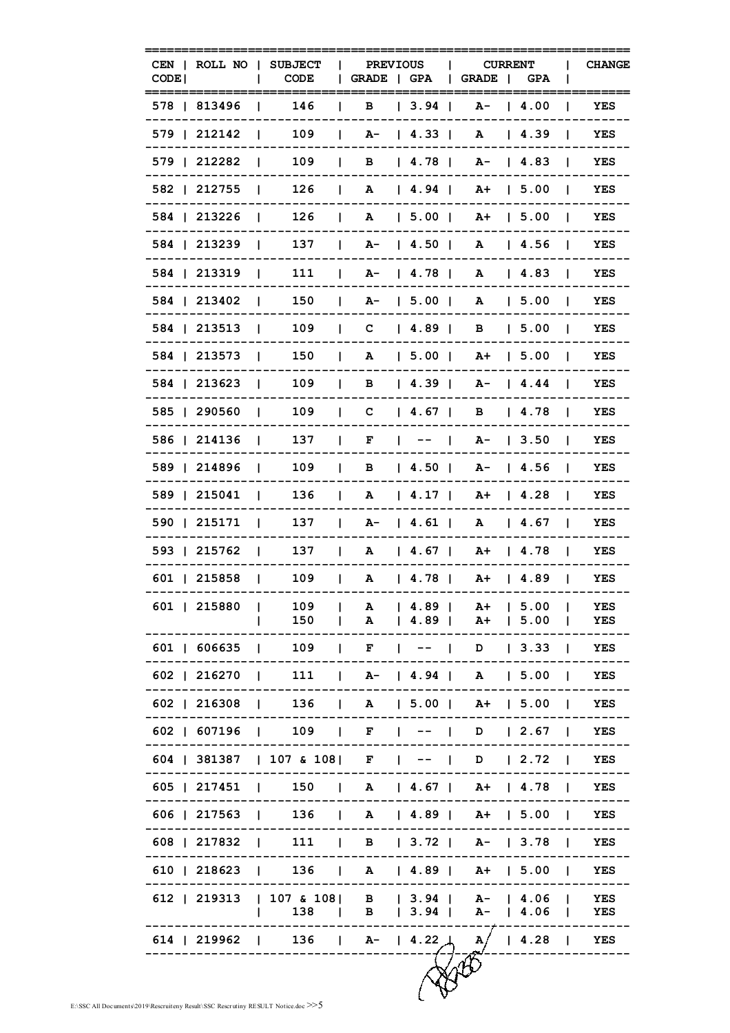| CODE <sup>1</sup> | CEN   ROLL NO | <b>SUBJECT</b><br>- 1<br><b>CODE</b>                                                          | GRADE   GPA                  | <b>PREVIOUS</b>                         | <b>CURRENT</b><br>GRADE    | <b>GPA</b>                               |                | <b>CHANGE</b> |
|-------------------|---------------|-----------------------------------------------------------------------------------------------|------------------------------|-----------------------------------------|----------------------------|------------------------------------------|----------------|---------------|
|                   | 578   813496  | 146                                                                                           | в                            | 3.94                                    | A-                         | 14.00                                    |                | YES           |
|                   | 579   212142  | 109                                                                                           | L                            | $A - 14.33$                             | A                          | $\begin{array}{cc} 1 & 4.39 \end{array}$ |                | YES           |
|                   | 579   212282  | 109<br>$\mathbf{I}$                                                                           | $\mathbf{I}$<br>$\mathbf{B}$ | $\begin{array}{ccc} & 4.78 \end{array}$ |                            | $A - 14.83$                              |                | YES           |
|                   | 582   212755  | 126<br>L                                                                                      | $\mathbf{L}$                 | A   4.94                                |                            | $A+$   5.00                              | $\mathbf{I}$   | YES           |
|                   | 584   213226  | 126<br>L                                                                                      | $\mathbf{I}$                 | A   5.00                                | A+ 15.00                   |                                          | - 1            | YES           |
|                   | 584   213239  | 137<br>L                                                                                      | $\mathbf{L}$                 | $A - 14.50$                             | A                          | 14.56                                    | $\mathbf{L}$   | YES           |
|                   | 584   213319  | 111<br>L                                                                                      | L                            | A-   4.78                               | A                          | $\begin{array}{cc} 1 & 4.83 \end{array}$ | $\mathbf{L}$   | YES           |
|                   | 584   213402  | 150<br>$\blacksquare$                                                                         | $\mathbf{I}$                 | $A - 15.00$                             | A                          | 15.00                                    | $\mathbf{I}$   | <b>YES</b>    |
|                   | 584   213513  | 109<br>$\mathbf{I}$                                                                           | T                            | $C \begin{array}{ccc} 4.89 \end{array}$ | B                          | $1\,5.00$                                | $\blacksquare$ | YES           |
|                   | 584   213573  | 150                                                                                           | A<br>$\mathbf{I}$            | 5.00                                    |                            | $A+$   5.00                              |                | YES           |
|                   | 584   213623  | 109                                                                                           | L<br>в                       | $14.39$ $1$                             |                            | $A - 14.44$                              |                | YES           |
|                   | 585   290560  | 109<br>L                                                                                      | C<br>$\mathbf{I}$            | $\begin{array}{ccc} & 4.67 \end{array}$ | $\mathbf{B}$               | 4.78                                     | $\mathbf{I}$   | YES           |
|                   | 586   214136  | 137<br>L                                                                                      | F<br>$\mathbf{I}$            | $1 - - -$                               |                            | $A - 13.50$                              | $\blacksquare$ | YES           |
|                   | 589   214896  | 109<br>L                                                                                      | $\mathbf{I}$<br>в            | $\vert$ 4.50 $\vert$                    |                            | $A - 14.56$                              | $\blacksquare$ | YES           |
|                   | 589   215041  | 136<br>L                                                                                      | L                            | A   4.17                                | A+                         | $\begin{array}{c} 4.28 \end{array}$      | $\mathbf{L}$   | YES           |
|                   | 590   215171  | 137<br>I.                                                                                     | $\mathbf{L}$                 | $A - 14.61$                             | A                          | $\begin{array}{cc} 1 & 4.67 \end{array}$ | I.             | YES           |
|                   | 593   215762  | $\blacksquare$<br>137                                                                         | $\mathbf{L}$                 | A   4.67                                |                            | $A+$   4.78                              | $\blacksquare$ | YES           |
|                   | 601   215858  | 109                                                                                           | $\mathbf{L}$                 | A   4.78                                |                            | $A+$   4.89                              | $\mathbf{I}$   | YES           |
|                   |               | 601   215880   109   A   4.89   A+   5.00   YES                                               |                              |                                         |                            |                                          |                |               |
|                   |               | 150<br>L                                                                                      |                              |                                         | $  A   4.89   A+   5.00  $ |                                          |                | <b>YES</b>    |
|                   |               | 601   606635   109   F   --   D   3.33   YES                                                  |                              |                                         |                            |                                          |                |               |
|                   |               | 602   216270   111   A-   4.94   A   5.00   YES                                               |                              |                                         |                            |                                          |                |               |
|                   |               | 602   216308   136   A   5.00   A+   5.00   YES                                               |                              |                                         |                            |                                          |                |               |
|                   |               | 602   607196   109   F   --   D   2.67   YES                                                  |                              |                                         |                            |                                          |                |               |
|                   |               | 604   381387   107 & 108   F   --   D   2.72   YES                                            |                              |                                         |                            |                                          |                |               |
|                   |               | 605   217451   150   A   4.67   A+   4.78   YES                                               |                              |                                         |                            |                                          |                |               |
|                   |               | 606   217563   136   A   4.89   A+   5.00   YES                                               |                              |                                         |                            |                                          |                |               |
|                   |               | 608   217832   111   B   3.72   A-   3.78   YES                                               |                              |                                         |                            |                                          |                |               |
|                   |               | 610   218623   136   A   4.89   A+   5.00   YES                                               |                              |                                         |                            |                                          |                |               |
|                   |               | 612   219313   107 & 108   B   3.94   A-   4.06   YES<br>$ $ 138   B   3.94   A-   4.06   YES |                              |                                         |                            |                                          |                |               |
|                   |               | 614   219962   136   A-   4.22   A/   4.28   YES                                              |                              |                                         |                            |                                          |                |               |
|                   |               |                                                                                               |                              |                                         |                            |                                          |                |               |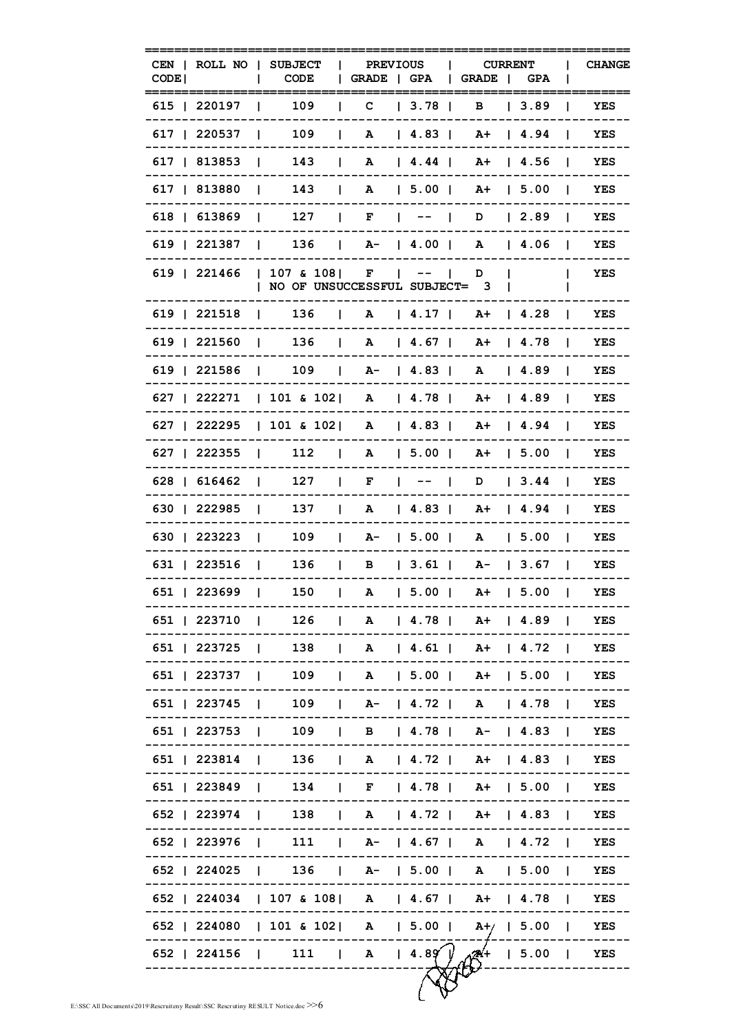| CODE <sub>I</sub>  |                    | CEN   ROLL NO   SUBJECT<br><b>CODE</b>                    |              | PREVIOUS  <br>  GRADE   GPA   GRADE   GPA | <b>CURRENT</b> |          | $\mathbf{I}$   | <b>CHANGE</b> |
|--------------------|--------------------|-----------------------------------------------------------|--------------|-------------------------------------------|----------------|----------|----------------|---------------|
| 615   220197       |                    | 109                                                       | $\mathbf{C}$ | 3.78                                      | в              | 3.89     | L              | YES           |
| 617   220537       |                    | 109<br><b>Contract Contract Contract</b>                  | $\mathbf{L}$ | A   4.83   A+   4.94                      |                |          |                | YES           |
| 617   813853   143 |                    |                                                           | $\mathbf{1}$ | A   4.44   A+   4.56                      |                |          | $\mathbf{I}$   | YES           |
| 617   813880       |                    |                                                           |              | 143   A   5.00   A +   5.00               |                |          | $\sim$ 1.      | YES           |
|                    |                    | 618   613869   127   F   $-$   D   2.89                   |              |                                           |                |          | $\mathbf{1}$   | YES           |
|                    |                    | 619   221387   136   A-   4.00   A   4.06                 |              |                                           |                |          | $\mathbf{1}$   | YES           |
| 619   221466       |                    | $ 107 \& 108 $ F $   $<br>  NO OF UNSUCCESSFUL SUBJECT= 3 |              |                                           | D              |          |                | YES           |
|                    |                    | 619   221518   136   A   4.17   A+   4.28                 |              |                                           |                |          | $\mathbf{I}$   | YES           |
| 619   221560       |                    | $\vert$ 136   A   4.67   A +   4.78                       |              |                                           |                |          | $\mathbf{I}$   | YES           |
|                    |                    | 619   221586   109   A-   4.83   A   4.89                 |              |                                           |                |          |                | YES           |
|                    |                    | 627   222271   101 & 102   A   4.78   A +   4.89          |              |                                           |                |          |                | YES           |
|                    |                    | 627   222295   101 & 102   A   4.83   A+   4.94           |              |                                           |                |          |                | YES           |
| 627   222355       |                    | $\vert$ 112   A   5.00   A +   5.00                       |              |                                           |                |          |                | YES           |
| 628   616462       | $\blacksquare$     | $127$                                                     |              | $F \qquad   \qquad -- \qquad  $           |                | D   3.44 |                | YES           |
| 630   222985   137 |                    |                                                           | $\mathbf{L}$ | A   4.83   A+   4.94                      |                |          |                | YES           |
|                    |                    | 630   223223   109                                        |              | $1 \quad A - 15.001$                      |                | A   5.00 | $\sim$ 1.      | YES           |
| 631   223516       | <b>The Company</b> | 136                                                       |              | $\vert$ B $\vert$ 3.61   A- $\vert$ 3.67  |                |          | $\blacksquare$ | YES           |
| 651   223699       | $\blacksquare$     | 150                                                       | $\mathbf{1}$ | A   5.00   A+   5.00                      |                |          | $\blacksquare$ | YES           |
|                    |                    | 651   223710   126   A   4.78   A +   4.89   YES          |              |                                           |                |          |                |               |
|                    |                    | 651   223725   138   A   4.61   A+   4.72   YES           |              |                                           |                |          |                |               |
|                    |                    | 651   223737   109   A   5.00   A+   5.00   YES           |              |                                           |                |          |                |               |
|                    |                    | 651   223745   109   A-   4.72   A   4.78   YES           |              |                                           |                |          |                |               |
|                    |                    | 651   223753   109   B   4.78   A-   4.83   YES           |              |                                           |                |          |                |               |
|                    |                    | 651   223814   136   A   4.72   A+   4.83   YES           |              |                                           |                |          |                |               |
|                    |                    | 651   223849   134   F   4.78   A+   5.00   YES           |              |                                           |                |          |                |               |
|                    |                    | 652   223974   138   A   4.72   A+   4.83   YES           |              |                                           |                |          |                |               |
|                    |                    | 652   223976   111   A-   4.67   A   4.72   YES           |              |                                           |                |          |                |               |
|                    |                    | 652   224025   136   A-   5.00   A   5.00   YES           |              |                                           |                |          |                |               |
|                    |                    | 652   224034   107 & 108   A   4.67   A +   4.78   YES    |              |                                           |                |          |                |               |
|                    |                    | 652   224080   101 & 102   A   5.00   A+/   5.00   YES    |              |                                           |                |          |                |               |
|                    |                    | 652   224156   111   A   4.89   $\sqrt{24}$   5.00   YES  |              |                                           |                |          |                |               |
|                    |                    |                                                           |              |                                           |                |          |                |               |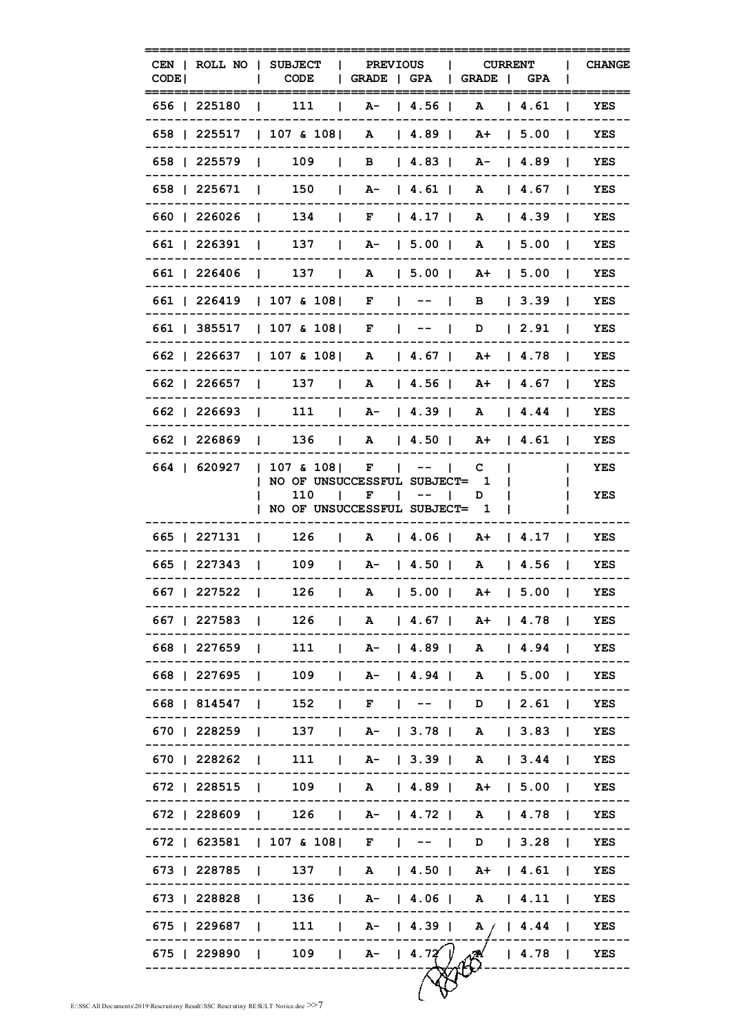| CEN   ROLL NO   SUBJECT<br>CODE I                  | <b>CODE</b>                                        | <b>PREVIOUS</b><br>$\mathbf{L}$<br>  GRADE   GPA   GRADE   GPA |      |        | <b>CURRENT</b>           |                | <b>CHANGE</b> |
|----------------------------------------------------|----------------------------------------------------|----------------------------------------------------------------|------|--------|--------------------------|----------------|---------------|
| 656   225180                                       | 111                                                | A-   4.56  <br>$\mathbf{L}$                                    |      | A      | 4.61                     |                | YES           |
| 658   225517                                       | $ 107 \& 108 $ A $ 4.89 $ A + $ 5.00 $             |                                                                |      |        |                          | $\mathbf{I}$   | YES           |
| 658   225579   109   B   4.83   A-   4.89          |                                                    |                                                                |      |        |                          |                | YES           |
| 658   225671   150   A-   4.61   A   4.67          |                                                    |                                                                |      |        |                          |                | YES           |
| 660   226026   134   F   4.17   A   4.39           |                                                    |                                                                |      |        |                          |                | YES           |
| 661   226391   137   A-   5.00   A   5.00          |                                                    |                                                                |      |        |                          |                | YES           |
| 661   226406   137   A   5.00   A+   5.00          |                                                    |                                                                |      |        |                          |                | YES           |
| 661   226419   107 & 108   F   --                  |                                                    |                                                                |      |        | B   3.39                 |                | YES           |
| 661   385517   107 & 108   F   --                  |                                                    |                                                                |      |        | D   2.91                 | $\mathbf{I}$   | YES           |
| 662   226637   107 & 108   A   4.67   A+   4.78    |                                                    |                                                                |      |        |                          |                | YES           |
| 662   226657                                       | $\vert$ 137   A   4.56   A +   4.67                |                                                                |      |        |                          |                | YES           |
| 662   226693                                       | $\vert$ 111   A-   4.39   A   4.44                 |                                                                |      |        |                          |                | YES           |
| 662   226869   136   A   4.50   A +   4.61         |                                                    |                                                                |      |        |                          |                | YES           |
| 664   620927                                       | $ 107 \& 108 $ F $   $                             |                                                                |      | C      |                          |                | YES           |
|                                                    | NO OF UNSUCCESSFUL SUBJECT=<br>110<br>$\mathbf{I}$ | F                                                              | $--$ | 1<br>D |                          |                | YES           |
|                                                    | NO OF UNSUCCESSFUL SUBJECT= 1                      |                                                                |      |        |                          |                |               |
| 665   227131   126                                 |                                                    | $\vert$ A $\vert$ 4.06 $\vert$ A + $\vert$ 4.17 $\vert$        |      |        |                          |                | YES           |
| 665   227343   109   A-   4.50   A   4.56          |                                                    |                                                                |      |        |                          | $\mathbf{I}$   | YES           |
| 667   227522                                       |                                                    | $126$   A   5.00   A +   5.00                                  |      |        |                          | $\blacksquare$ | YES           |
| 667   227583   126   A   4.67   A+   4.78   YES    |                                                    |                                                                |      |        |                          |                |               |
| 668   227659   111   A-   4.89   A   4.94   YES    |                                                    |                                                                |      |        |                          |                |               |
| 668   227695   109   A-   4.94   A   5.00   YES    |                                                    |                                                                |      |        |                          |                |               |
| 668   814547   152   F   --   D   2.61   YES       |                                                    |                                                                |      |        |                          |                |               |
| 670   228259   137   A-   3.78   A   3.83   YES    |                                                    |                                                                |      |        |                          |                |               |
| 670   228262   111   A-   3.39   A   3.44   YES    |                                                    |                                                                |      |        |                          |                |               |
| 672   228515   109   A   4.89   A+   5.00   YES    |                                                    |                                                                |      |        |                          |                |               |
| 672   228609   126   A-   4.72   A   4.78   YES    |                                                    |                                                                |      |        |                          |                |               |
| 672   623581   107 & 108   F   --   D   3.28   YES |                                                    |                                                                |      |        |                          |                |               |
| 673   228785   137   A   4.50   A+   4.61   YES    |                                                    |                                                                |      |        |                          |                |               |
| 673   228828   136   A-   4.06   A   4.11   YES    |                                                    |                                                                |      |        |                          |                |               |
| 675   229687   111   A-   4.39   A /   4.44   YES  |                                                    |                                                                |      |        |                          |                |               |
| 675   229890   109   A-   4.72 $\sqrt{ }$          |                                                    |                                                                |      |        | $\sqrt{28}$   4.78   YES |                |               |
|                                                    |                                                    |                                                                |      |        |                          |                |               |
|                                                    |                                                    |                                                                |      |        |                          |                |               |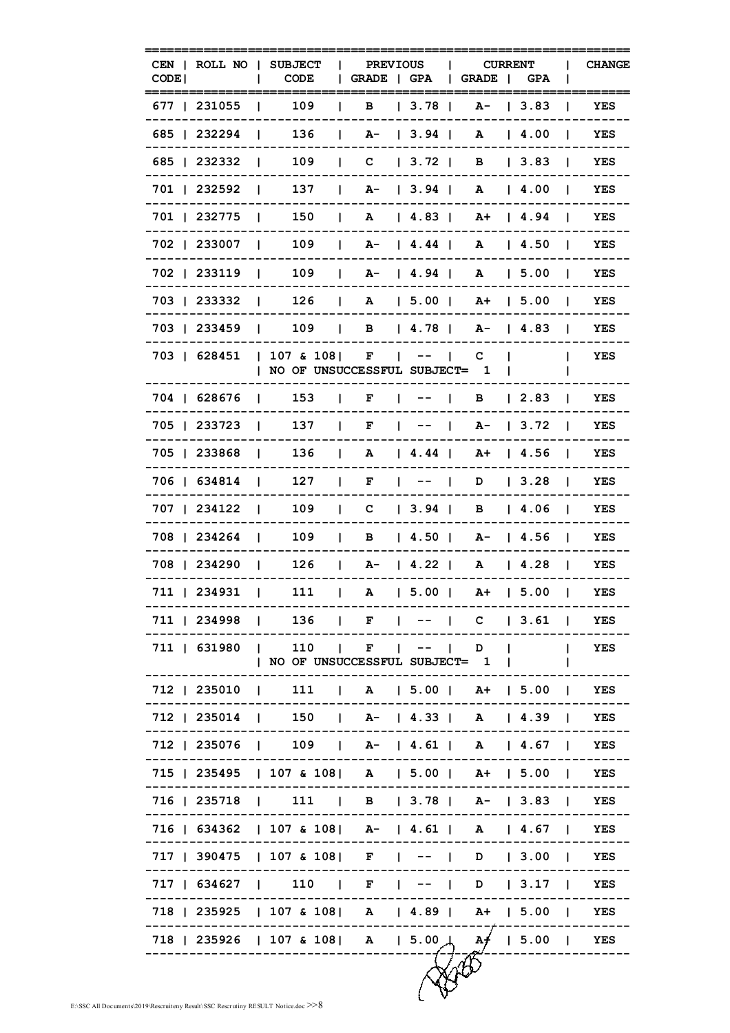| CODE |                                | CEN   ROLL NO   SUBJECT<br><b>CODE</b>                                                                          | <b>PREVIOUS</b><br>GRADE   GPA    |                                           | GRADE                | <b>CURRENT</b><br><b>GPA</b> |                | <b>CHANGE</b> |
|------|--------------------------------|-----------------------------------------------------------------------------------------------------------------|-----------------------------------|-------------------------------------------|----------------------|------------------------------|----------------|---------------|
|      | 677   231055                   | 109                                                                                                             | в                                 | 3.78                                      |                      | $A - 13.83$                  |                | YES           |
|      | 685   232294                   | 136<br>$\mathbf{L}$                                                                                             | L                                 | $A - 13.941$                              |                      | A   4.00                     |                | YES           |
|      | 685   232332                   | 109<br>$\mathbf{I}$                                                                                             | C   3.72                          |                                           |                      | B   3.83                     | $\mathbf{I}$   | YES           |
|      | 701   232592                   | 137<br>$\blacksquare$                                                                                           | $  A -   3.94  $                  |                                           |                      | A   4.00                     | $\mathbf{I}$   | YES           |
|      | 701   232775                   | 150<br>$\Box$                                                                                                   |                                   |                                           | A+ 14.94             |                              | $\sim$ 1.1     | YES           |
|      | 702   233007                   | 109<br>$\blacksquare$                                                                                           | $\mathbf{L}$                      | $A - 14.44$                               |                      | A   4.50                     | $\mathbf{I}$   | YES           |
|      | 702   233119                   | 109<br>and the contract                                                                                         | $\mathbf{L}$                      | A-   4.94                                 |                      | A   5.00                     | $\mathbf{I}$   | <b>YES</b>    |
|      | 703   233332<br>$\blacksquare$ | 126                                                                                                             | $\mathbf{L}$                      | A   5.00                                  |                      | $A+$   5.00                  | $\mathbf{I}$   | YES           |
|      | 703   233459                   |                                                                                                                 | $109$   B   4.78                  |                                           |                      | $A - 14.83$                  | $\mathbf{I}$   | YES           |
|      | 703   628451                   | $ 107 \& 108 $ F $   $<br>  NO OF UNSUCCESSFUL SUBJECT= 1                                                       |                                   |                                           | C.                   |                              |                | YES           |
|      | 704   628676                   | 153<br>$\mathbf{I}$                                                                                             | $\mathbf{L}$<br>F<br>$\mathbf{L}$ | $- -$<br>$\mathbf{L}$                     |                      | B   2.83                     | $\mathbf{L}$   | YES           |
|      | 705   233723                   | 137<br>$\Box$                                                                                                   | $\mathbf{L}$<br>F                 | $\frac{1}{2}$ $\frac{1}{2}$ $\frac{1}{2}$ | A- 13.72             |                              | $\blacksquare$ | YES           |
|      | 705   233868                   | 136<br>$\blacksquare$                                                                                           | <b>Contract Contract</b>          |                                           | A   4.44   A+   4.56 |                              | $\blacksquare$ | YES           |
|      | 706   634814                   | 127<br>$\blacksquare$                                                                                           | $\mathbf{I}$                      | $F \mid - -  $                            |                      | $D$   3.28                   | $\Box$         | YES           |
|      | 707   234122                   | 109<br>$\blacksquare$                                                                                           | L                                 | $C \begin{array}{ccc} 3.94 \end{array}$   |                      | B   4.06                     | $\mathbf{I}$   | YES           |
|      | 708   234264<br>$\Box$         | 109                                                                                                             | $\mathbf{L}$                      |                                           | B   4.50   A-   4.56 |                              | $\blacksquare$ | YES           |
|      | 708   234290<br>$\blacksquare$ | 126                                                                                                             | $\mathbf{L}$                      | $A - 14.22$                               |                      | A   4.28                     | $\blacksquare$ | YES           |
|      | 711   234931                   | 111<br>$\blacksquare$                                                                                           | $\mathbf{I}$                      |                                           | A   5.00   A+   5.00 |                              | $\blacksquare$ | YES           |
|      |                                | 711   234998   136   F   --   C   3.61   YES                                                                    |                                   |                                           |                      |                              |                |               |
|      |                                | 711   631980   110   F   --   D  <br>  NO OF UNSUCCESSFUL SUBJECT= 1                                            |                                   |                                           |                      |                              |                | I YES         |
|      |                                | 712   235010   111   A   5.00   A+   5.00   YES                                                                 |                                   |                                           |                      |                              |                |               |
|      |                                | 712   235014   150   A-   4.33   A   4.39   YES                                                                 |                                   |                                           |                      |                              |                |               |
|      |                                | 712   235076   109   A-   4.61   A   4.67   YES                                                                 |                                   |                                           |                      |                              |                |               |
|      |                                | 715   235495   107 & 108   A   5.00   A+   5.00   YES                                                           |                                   |                                           |                      |                              |                |               |
|      |                                | 716   235718   111   B   3.78   A-   3.83   YES                                                                 |                                   |                                           |                      |                              |                |               |
|      |                                | 716   634362   107 & 108   A-   4.61   A   4.67   YES                                                           |                                   |                                           |                      |                              |                |               |
|      |                                | 717   390475   107 & 108   F   --   D   3.00   YES                                                              |                                   |                                           |                      |                              |                |               |
|      |                                | 717   634627   110   F   --   D   3.17   YES                                                                    |                                   |                                           |                      |                              |                |               |
|      |                                | 718   235925   107 & 108   A   4.89   A+   5.00   YES                                                           |                                   |                                           |                      |                              |                |               |
|      |                                | 718   235926   107 & 108   A   5.00 $\uparrow$ A $\uparrow$   5.00   YES<br>----------------------------------- |                                   |                                           |                      |                              |                | .             |
|      |                                |                                                                                                                 |                                   |                                           |                      |                              |                |               |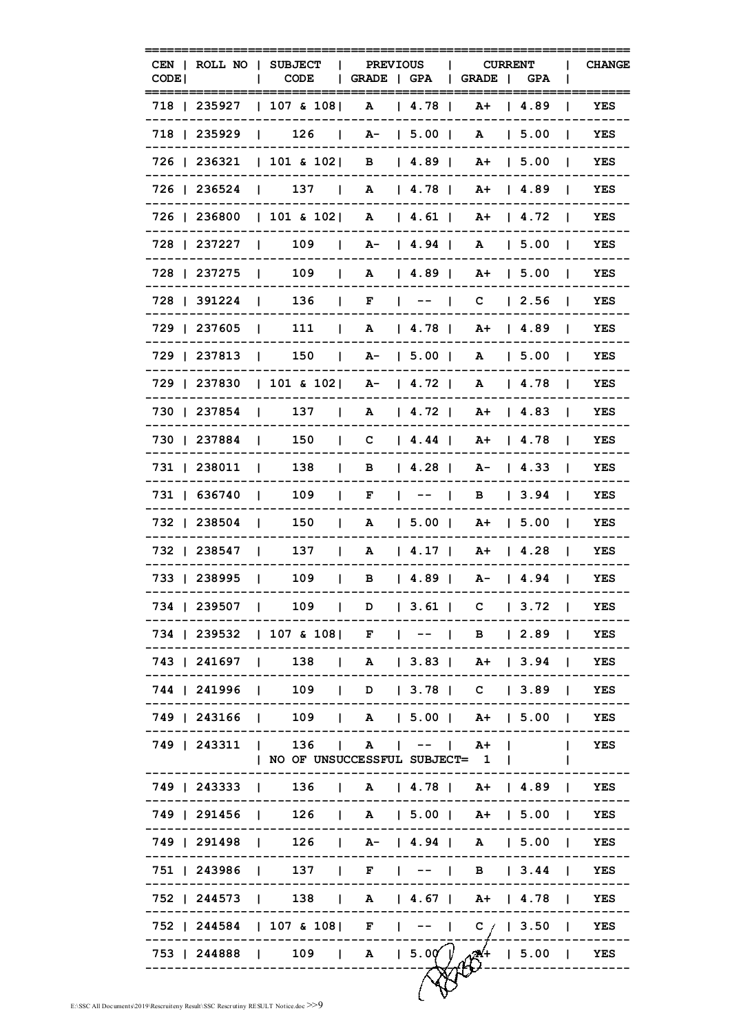| CODE <sup>1</sup> |              | CEN   ROLL NO   SUBJECT<br>CODE                                       | <b>PREVIOUS</b><br>$\mathbf{L}$<br>  GRADE   GPA   GRADE   GPA |                                         | <b>CURRENT</b>       |                      |                | <b>CHANGE</b> |
|-------------------|--------------|-----------------------------------------------------------------------|----------------------------------------------------------------|-----------------------------------------|----------------------|----------------------|----------------|---------------|
|                   | 718   235927 | 107 & 108                                                             |                                                                | A   4.78                                |                      | A+ 14.89             |                | YES           |
|                   | 718   235929 | $\begin{array}{ccc} \end{array}$ 126 $\begin{array}{ccc} \end{array}$ |                                                                | $A - 15.00$                             |                      | A   5.00             | $\mathbf{I}$   | <b>YES</b>    |
|                   |              | 726   236321   101 & 102   B   4.89                                   |                                                                |                                         | A+ 15.00             |                      | -1             | YES           |
|                   |              | 726   236524   137   A   4.78                                         |                                                                |                                         |                      | A+ 14.89             | $\sim$ 1.      | YES           |
|                   |              | 726   236800   101 & 102   A   4.61                                   |                                                                |                                         |                      | A+   4.72            |                | YES           |
|                   | 728   237227 | $\begin{array}{ccc} \vert & 109 & \vert \end{array}$                  |                                                                | A-   4.94                               |                      | A   5.00             | $\blacksquare$ | YES           |
|                   |              | 728   237275   109                                                    |                                                                | A   4.89                                |                      | $A+$   5.00          |                | YES           |
|                   | 728   391224 | $\begin{array}{ccc} & 136 \\ \end{array}$<br>$\sim$ 1.                |                                                                | $F \left  \right $ $\left  - - \right $ |                      | $C = 2.56$           | $\blacksquare$ | YES           |
|                   | 729   237605 | 111<br>$\blacksquare$                                                 | $\Box$                                                         | A   4.78                                | A+ 14.89             |                      | $\mathbf{I}$   | YES           |
|                   | 729   237813 | <b>Contract Contract</b>                                              | $150$ $\mu$ $A$ $\bar{ }$   5.00 $\mu$                         |                                         |                      | A   5.00             |                | YES           |
|                   |              | 729   237830   101 & 102   A-   4.72                                  |                                                                |                                         |                      | A   4.78             |                | YES           |
|                   |              | 730   237854   137                                                    |                                                                | A   4.72                                |                      | A+ 14.83 1           |                | YES           |
|                   | 730   237884 | 150                                                                   |                                                                | $C \begin{array}{ccc} 4.44 \end{array}$ |                      | A+   4.78            |                | YES           |
|                   | 731   238011 | 138<br>$\sim$ 1.<br>$\mathbf{I}$                                      |                                                                | B   4.28                                |                      | A-   4.33            |                | YES           |
|                   | 731   636740 | 109<br>$\mathbf{I}$                                                   | $\mathbf{L}$                                                   | $F \left  \right $ $\left  - - \right $ | B                    | $\vert$ 3.94 $\vert$ |                | YES           |
|                   | 732   238504 | 150                                                                   | $\mathbf{L}$                                                   |                                         | A   5.00   A+   5.00 |                      | $\mathbf{I}$   | YES           |
|                   | 732   238547 | 137                                                                   | $\mathbf{L}$                                                   |                                         | A   4.17   A+   4.28 |                      |                | YES           |
|                   | 733   238995 | 109                                                                   | $\vert$ B $\vert$ 4.89   A - $\vert$ 4.94                      |                                         |                      |                      |                | YES           |
|                   |              | 734   239507   109   D   3.61   C   3.72   YES                        |                                                                |                                         |                      |                      |                |               |
|                   |              | 734   239532   107 & 108   F   --   B   2.89   YES                    |                                                                |                                         |                      |                      |                |               |
|                   |              | 743   241697   138   A   3.83   A+   3.94   YES                       |                                                                |                                         |                      |                      |                |               |
|                   |              | 744   241996   109   D   3.78   C   3.89   YES                        |                                                                |                                         |                      |                      |                |               |
|                   |              | 749   243166   109   A   5.00   A+   5.00   YES                       |                                                                |                                         |                      |                      |                |               |
|                   |              | 749   243311   136   A   --   A+  <br>  NO OF UNSUCCESSFUL SUBJECT= 1 |                                                                |                                         |                      |                      |                | YES           |
|                   |              | 749   243333   136   A   4.78   A+   4.89   YES                       |                                                                |                                         |                      |                      |                |               |
|                   |              | 749   291456   126   A   5.00   A+   5.00   YES                       |                                                                |                                         |                      |                      |                |               |
|                   |              | 749   291498   126   A-   4.94   A   5.00   YES                       |                                                                |                                         |                      |                      |                |               |
|                   |              | 751   243986   137   F   --   B   3.44   YES                          |                                                                |                                         |                      |                      |                |               |
|                   |              | 752   244573   138   A   4.67   A+   4.78   YES                       |                                                                |                                         |                      |                      |                |               |
|                   |              | 752   244584   107 & 108   F   --   C /   3.50   YES                  |                                                                |                                         |                      |                      |                |               |
|                   |              | 753   244888   109   A   5.0 $\sqrt{24}$   5.00   YES                 |                                                                |                                         |                      |                      |                |               |
|                   |              |                                                                       |                                                                |                                         |                      |                      |                |               |
|                   |              |                                                                       |                                                                |                                         |                      |                      |                |               |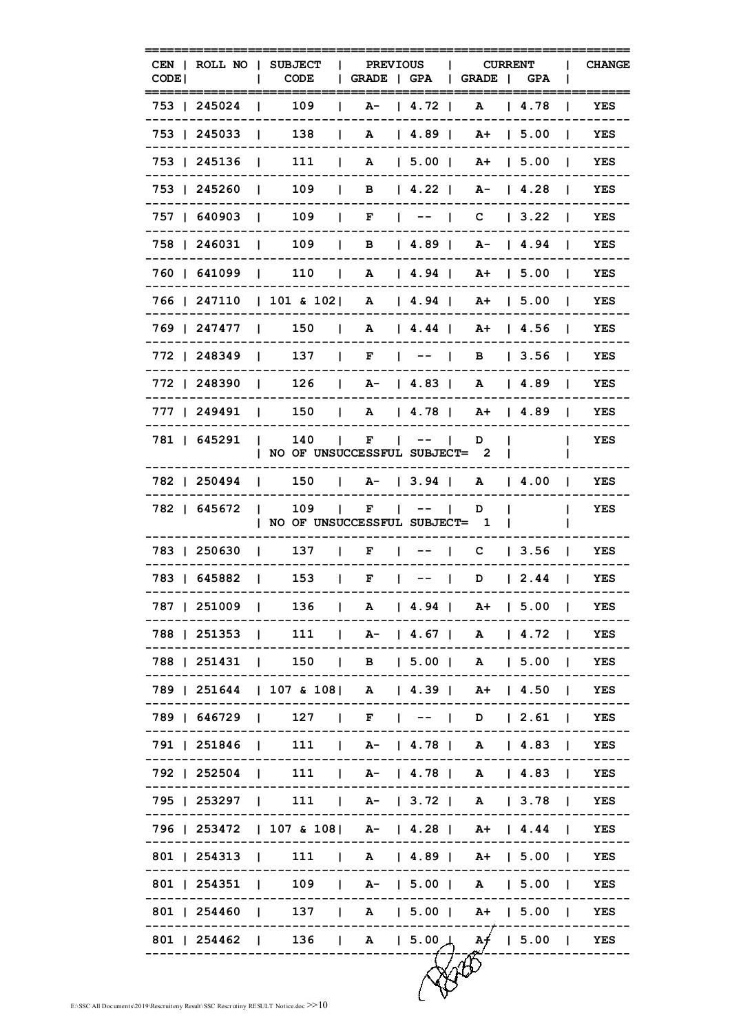| CODE <sup>1</sup>                                |                   | CEN   ROLL NO   SUBJECT  <br>CODE                        | GRADE   GPA   GRADE   GPA          | <b>PREVIOUS</b> |              | <b>CURRENT</b> | <b>CHANGE</b>              |
|--------------------------------------------------|-------------------|----------------------------------------------------------|------------------------------------|-----------------|--------------|----------------|----------------------------|
| 753   245024                                     | $\mathbf{L}$      | 109                                                      | $\mathbf{L}$                       | $A - 14.721$    | $\mathbf{A}$ | 4.78           | YES                        |
| 753 1 245033                                     |                   | 138                                                      | $\vert$ A $\vert$ 4.89   A+   5.00 |                 |              |                | YES                        |
| 753   245136   111                               |                   |                                                          | $\vert$ A $\vert$ 5.00   A+   5.00 |                 |              |                | YES<br>-1                  |
|                                                  |                   | 753   245260   109   B   4.22   A-   4.28                |                                    |                 |              |                | YES                        |
|                                                  |                   | 757   640903   109   F   --   C   3.22                   |                                    |                 |              |                | YES                        |
|                                                  |                   | 758   246031   109   B   4.89   A-   4.94                |                                    |                 |              |                | YES                        |
|                                                  |                   | 760   641099   110   A   4.94   A+   5.00                |                                    |                 |              |                | YES<br>$\mathbf{I}$        |
|                                                  |                   | 766   247110   101 & 102   A   4.94   A+   5.00          |                                    |                 |              |                | YES<br>$\blacksquare$      |
| 769   247477                                     |                   | $\vert$ 150   A   4.44   A+   4.56                       |                                    |                 |              |                | YES<br>$\blacksquare$      |
|                                                  |                   | 772   248349   137   F   --                              |                                    |                 |              | B   3.56       | YES                        |
|                                                  |                   | 772   248390   126   A-   4.83                           |                                    |                 |              | A   4.89       | YES                        |
|                                                  |                   | 777   249491   150   A   4.78   A+   4.89                |                                    |                 |              |                | YES<br>$\mathbf{I}$        |
| 781   645291                                     | $\sim$ 1.0 $\sim$ | NO OF UNSUCCESSFUL SUBJECT= 2                            | $140$   F   --                     |                 | D            |                | YES                        |
|                                                  |                   | 782   250494   150   A-   3.94   A   4.00                |                                    |                 |              |                | YES                        |
| 782   645672                                     |                   | $\vert$ 109 $\vert$ F<br>  NO OF UNSUCCESSFUL SUBJECT= 1 |                                    | $\blacksquare$  | D            |                | YES                        |
|                                                  |                   | 783   250630   137   F   --   C   3.56                   |                                    |                 |              |                | <b>YES</b><br>$\mathbf{1}$ |
|                                                  |                   | 783   645882   153   F   --   D   2.44                   |                                    |                 |              |                | YES                        |
|                                                  |                   | 787   251009   136   A   4.94   A+   5.00   YES          |                                    |                 |              |                |                            |
|                                                  |                   | 788   251353   111   A-   4.67   A   4.72   YES          |                                    |                 |              |                |                            |
|                                                  |                   | 788   251431   150   B   5.00   A   5.00   YES           |                                    |                 |              |                |                            |
|                                                  |                   | 789   251644   107 & 108   A   4.39   A+   4.50   YES    |                                    |                 |              |                |                            |
|                                                  |                   | 789   646729   127   F   --   D   2.61   YES             |                                    |                 |              |                |                            |
|                                                  |                   | 791   251846   111   A-   4.78   A   4.83   YES          |                                    |                 |              |                |                            |
|                                                  |                   | 792   252504   111   A-   4.78   A   4.83   YES          |                                    |                 |              |                |                            |
|                                                  |                   | 795   253297   111   A-   3.72   A   3.78   YES          |                                    |                 |              |                |                            |
|                                                  |                   | 796   253472   107 & 108   A-   4.28   A+   4.44   YES   |                                    |                 |              |                |                            |
|                                                  |                   | 801   254313   111   A   4.89   A+   5.00   YES          |                                    |                 |              |                |                            |
|                                                  |                   | 801   254351   109   A-   5.00   A   5.00   YES          |                                    |                 |              |                |                            |
|                                                  |                   | 801   254460   137   A   5.00   A+   5.00   YES          |                                    |                 |              |                |                            |
| 801   254462   136   A   5.00   A +   5.00   YES |                   |                                                          |                                    |                 |              |                |                            |
|                                                  |                   |                                                          |                                    |                 |              |                |                            |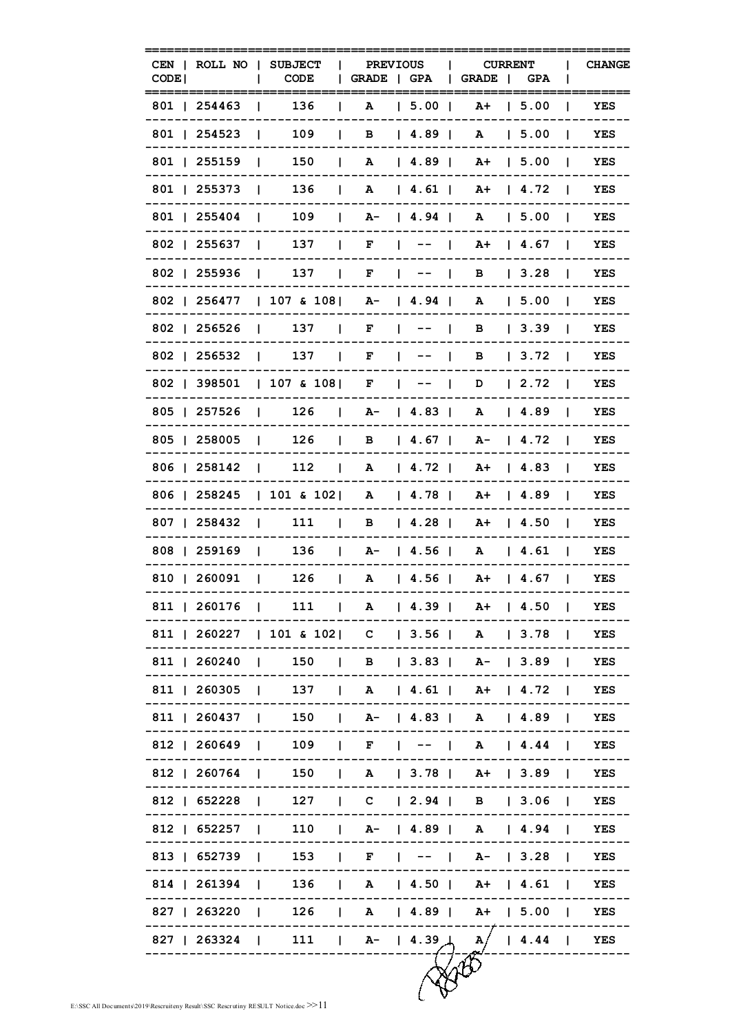| CEN I<br>CODE <sup>1</sup>                           | ROLL NO   SUBJECT<br><b>CODE</b>                                      | <b>PREVIOUS</b><br>L<br>GRADE   GPA |                                         | <b>CURRENT</b><br>GRADE  <br>$\mathbf{L}$                       | <b>CHANGE</b><br><b>GPA</b> |
|------------------------------------------------------|-----------------------------------------------------------------------|-------------------------------------|-----------------------------------------|-----------------------------------------------------------------|-----------------------------|
| 801   254463                                         | 136                                                                   | A                                   | $1, 5.00$ 1                             | $A+$<br>l 5.00                                                  | YES                         |
| 801   254523                                         | 109                                                                   | L<br>в                              | 4.89                                    | 1, 5.00<br>A                                                    | YES                         |
| 801   255159                                         | 150<br>$\mathbf{I}$                                                   | $\mathbf{L}$<br>A                   | 4.89                                    | $A+$   5.00                                                     | YES<br>-1                   |
| 801   255373                                         | 136<br>$\blacksquare$                                                 | $\mathbf{I}$                        | A   4.61                                | $A+$   4.72                                                     | YES<br>$\blacksquare$       |
| 801   255404                                         | 109<br>$\mathbf{I}$                                                   | $\Box$                              | A -   4.94   A                          | 5.00                                                            | YES<br>$\blacksquare$       |
| 802   255637                                         | 137<br>$\Box$                                                         | F<br>$\Box$                         | $\blacksquare$<br>$\mathbf{I}$          | $\begin{array}{c} 1 \quad 4 \quad . \quad 67 \end{array}$<br>A+ | YES<br>$\mathbf{I}$         |
| 802   255936                                         | 137<br>$\sim$ 1                                                       |                                     | $F \left  \right $ $\left  - - \right $ | 3.28<br>B                                                       | YES<br>$\mathbf{I}$         |
| 802   256477                                         | $ 107 \& 108 $ A- $ 4.94 $                                            |                                     |                                         | A<br>1, 5.00                                                    | YES<br>- 1                  |
| 802   256526                                         | $137 \quad \square$<br>and the state                                  | $\mathbf{F}$                        | $1 - - - 1$                             | B<br>13.39                                                      | YES<br>$\blacksquare$       |
| 802   256532                                         | $137 \quad \Box$<br>and the contract of the contract of               | F                                   | $\vert \quad \rightarrow \quad \vert$   | 3.72<br>в                                                       | YES                         |
| 802   398501                                         | 107 & 108                                                             | $\mathbf{F}$                        | $\mathbf{1}$ $\mathbf{1}$               | D<br>12.72                                                      | YES                         |
| 805   257526                                         | $\begin{array}{ccc} \end{array}$ 126 $\begin{array}{ccc} \end{array}$ |                                     | $A - 14.83$                             | A<br>  4.89                                                     | YES<br>$\mathbf{I}$         |
| 805   258005                                         | $126$ $\qquad$<br>$\mathbf{1}$                                        |                                     |                                         | $B$   4.67   A-   4.72                                          | YES<br>$\blacksquare$       |
| 806   258142                                         | $\begin{array}{ccc} & 112 \end{array}$                                |                                     | A   4.72                                | 4.83<br>$A+$                                                    | YES<br>$\blacksquare$       |
| 806   258245                                         | $ 101 \t{5} 102 $                                                     |                                     | A   4.78                                | 14.89<br>A+                                                     | YES<br>$\mathbf{I}$         |
| 807   258432                                         | 111<br><b>The Company</b><br>$\sim$ 1.                                | в                                   | 4.28                                    | $\vert$ 4.50<br>A+                                              | YES<br>$\mathbf{I}$         |
| 808   259169                                         | 136<br>$\mathbf{1}$                                                   | $\sim$ 1.0                          | $A - 14.56$                             | A   4.61                                                        | YES<br>$\blacksquare$       |
| 810   260091                                         | 126<br>and the contract of the contract of                            | $\mathbf{1}$                        |                                         | A   4.56   A+   4.67                                            | YES<br>$\mathbf{1}$         |
| 811   260176   111   A   4.39   A+   4.50   YES      |                                                                       |                                     |                                         |                                                                 |                             |
| 811   260227   101 & 102   C   3.56   A   3.78   YES |                                                                       |                                     |                                         |                                                                 |                             |
| 811   260240   150   B   3.83   A-   3.89   YES      |                                                                       |                                     |                                         |                                                                 |                             |
| 811   260305   137   A   4.61   A+   4.72   YES      |                                                                       |                                     |                                         |                                                                 |                             |
| 811   260437   150   A-   4.83   A   4.89   YES      |                                                                       |                                     |                                         |                                                                 |                             |
| 812   260649   109   F   --   A   4.44   YES         |                                                                       |                                     |                                         |                                                                 |                             |
| 812   260764   150   A   3.78   A+   3.89   YES      |                                                                       |                                     |                                         |                                                                 |                             |
| 812   652228   127   C   2.94   B   3.06   YES       |                                                                       |                                     |                                         |                                                                 |                             |
| 812   652257   110   A-   4.89   A   4.94   YES      |                                                                       |                                     |                                         |                                                                 |                             |
| 813   652739   153   F   --   A-   3.28   YES        |                                                                       |                                     |                                         |                                                                 |                             |
| 814   261394   136   A   4.50   A+   4.61   YES      |                                                                       |                                     |                                         |                                                                 |                             |
| 827   263220   126   A   4.89   A+   5.00   YES      |                                                                       |                                     |                                         |                                                                 |                             |
| 827   263324   111   A-   4.39   A   4.44   YES      | --------------------------------                                      |                                     |                                         |                                                                 |                             |
|                                                      |                                                                       |                                     |                                         |                                                                 |                             |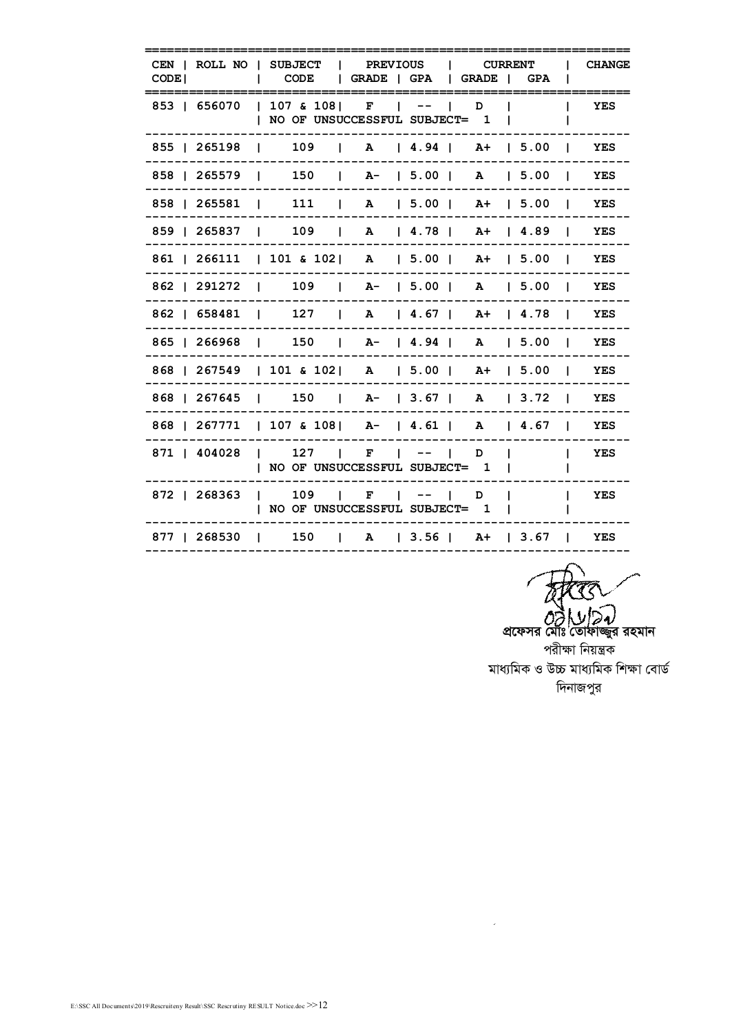| <b>CHANGE</b> | $\mathbf{I}$ |                              |  |  |  | CODE   GRADE   GPA   GRADE   GPA | CEN   ROLL NO   SUBJECT   PREVIOUS   CURRENT          | CODE I |
|---------------|--------------|------------------------------|--|--|--|----------------------------------|-------------------------------------------------------|--------|
| <b>YES</b>    |              |                              |  |  |  | NO OF UNSUCCESSFUL SUBJECT= 1    | 853   656070   107 & 108   F   --   D                 |        |
| <b>YES</b>    |              |                              |  |  |  |                                  | 855   265198   109   A   4.94   A+   5.00             |        |
| YES           |              |                              |  |  |  |                                  | 858   265579   150   A-   5.00   A   5.00             |        |
|               |              |                              |  |  |  |                                  | 858   265581   111   A   5.00   A+   5.00   YES       |        |
|               |              |                              |  |  |  |                                  | 859   265837   109   A   4.78   A+   4.89   YES       |        |
| YES           |              |                              |  |  |  |                                  | 861   266111   101 & 102   A   5.00   A+   5.00       |        |
| YES           |              |                              |  |  |  |                                  | 862   291272   109   A-   5.00   A   5.00             |        |
| <b>YES</b>    |              |                              |  |  |  |                                  | 862   658481   127   A   4.67   A+   4.78             |        |
|               |              |                              |  |  |  |                                  | 865   266968   150   A-   4.94   A   5.00   YES       |        |
|               |              |                              |  |  |  |                                  | 868   267549   101 & 102   A   5.00   A+   5.00   YES |        |
|               |              |                              |  |  |  |                                  | 868   267645   150   A-   3.67   A   3.72   YES       |        |
|               |              |                              |  |  |  |                                  | 868   267771   107 & 108   A-   4.61   A   4.67   YES |        |
| I YES         |              | and the contract of the con- |  |  |  | NO OF UNSUCCESSFUL SUBJECT= 1    | 871   404028   127   F   --   D                       |        |
| I YES         |              |                              |  |  |  | NO OF UNSUCCESSFUL SUBJECT= 1    | 872   268363   109   F   --   D                       |        |
|               |              |                              |  |  |  |                                  | 877   268530   150   A   3.56   A+   3.67   YES       |        |

*c* $\partial \overrightarrow{\partial}$  *∪ | Da*)<br>প্ৰফেসর মৌঃ তোফাজ্জুর রহমান পরীক্ষা নিয়ন্ত্রক সাধ্যমিক ও উচ্চ মাধ্যমিক শিক্ষা বোৰ্ড  $\sqrt{2}$ দিনাজপুর

 $\hat{\mathbf{z}}$